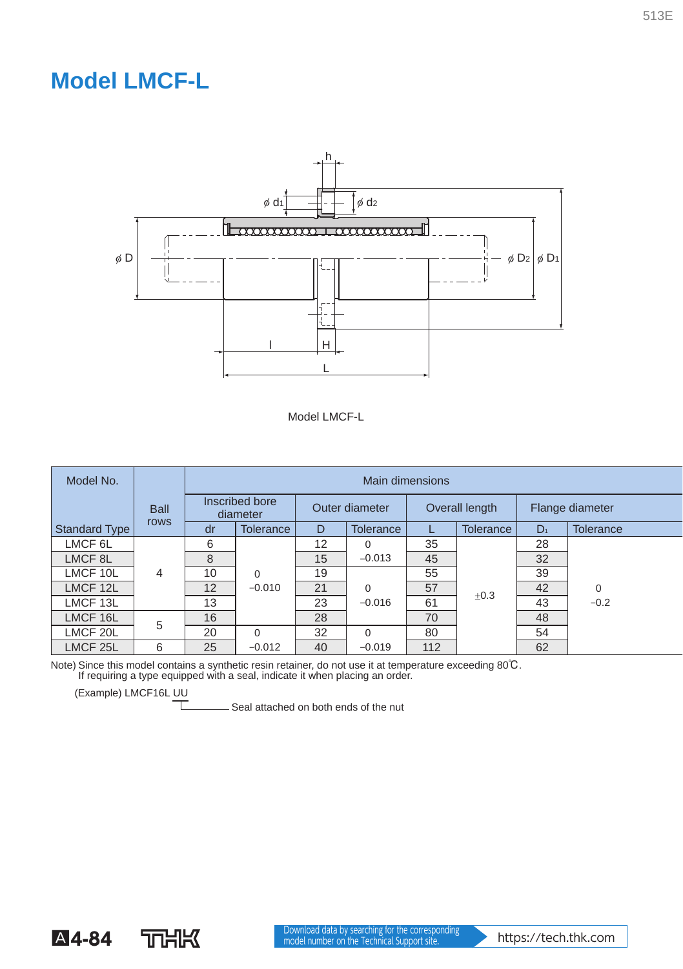## **Model LMCF-L**





| Model No.            |             | Main dimensions            |                  |                |                  |                |           |                 |                  |  |
|----------------------|-------------|----------------------------|------------------|----------------|------------------|----------------|-----------|-----------------|------------------|--|
|                      | <b>Ball</b> | Inscribed bore<br>diameter |                  | Outer diameter |                  | Overall length |           | Flange diameter |                  |  |
| <b>Standard Type</b> | rows        | dr                         | <b>Tolerance</b> | D              | <b>Tolerance</b> |                | Tolerance | $D_1$           | <b>Tolerance</b> |  |
| LMCF <sub>6L</sub>   |             | 6                          |                  | 12             | $\Omega$         | 35             |           | 28              |                  |  |
| LMCF <sub>8L</sub>   |             | 8                          |                  | 15             | $-0.013$         | 45             |           | 32              |                  |  |
| LMCF 10L             | 4           | 10                         | $\Omega$         | 19             |                  | 55             |           | 39              |                  |  |
| LMCF 12L             |             | 12                         | $-0.010$         | 21             | $\Omega$         | 57             | ±0.3      | 42              | $\Omega$         |  |
| LMCF 13L             |             | 13                         |                  | 23             | $-0.016$         | 61             |           | 43              | $-0.2$           |  |
| LMCF 16L             | 5           | 16                         |                  | 28             |                  | 70             |           | 48              |                  |  |
| LMCF 20L             |             | 20                         | $\Omega$         | 32             | $\Omega$         | 80             |           | 54              |                  |  |
| LMCF <sub>25</sub> L | 6           | 25                         | $-0.012$         | 40             | $-0.019$         | 112            |           | 62              |                  |  |

Note) Since this model contains a synthetic resin retainer, do not use it at temperature exceeding 80℃. If requiring a type equipped with a seal, indicate it when placing an order.

(Example) LMCF16L UU

**T**<br>Seal attached on both ends of the nut